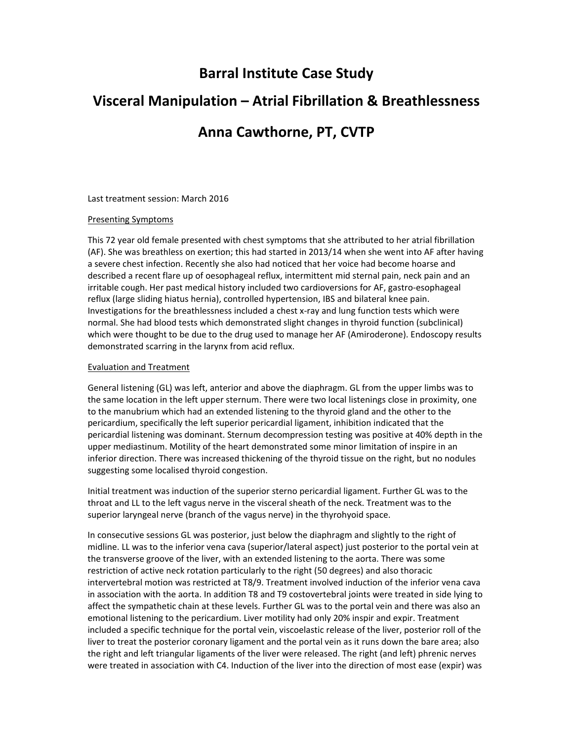## **Barral Institute Case Study**

# **Visceral Manipulation – Atrial Fibrillation & Breathlessness**

### **Anna Cawthorne, PT, CVTP**

Last treatment session: March 2016

#### Presenting Symptoms

This 72 year old female presented with chest symptoms that she attributed to her atrial fibrillation (AF). She was breathless on exertion; this had started in 2013/14 when she went into AF after having a severe chest infection. Recently she also had noticed that her voice had become hoarse and described a recent flare up of oesophageal reflux, intermittent mid sternal pain, neck pain and an irritable cough. Her past medical history included two cardioversions for AF, gastro‐esophageal reflux (large sliding hiatus hernia), controlled hypertension, IBS and bilateral knee pain. Investigations for the breathlessness included a chest x‐ray and lung function tests which were normal. She had blood tests which demonstrated slight changes in thyroid function (subclinical) which were thought to be due to the drug used to manage her AF (Amiroderone). Endoscopy results demonstrated scarring in the larynx from acid reflux.

#### Evaluation and Treatment

General listening (GL) was left, anterior and above the diaphragm. GL from the upper limbs was to the same location in the left upper sternum. There were two local listenings close in proximity, one to the manubrium which had an extended listening to the thyroid gland and the other to the pericardium, specifically the left superior pericardial ligament, inhibition indicated that the pericardial listening was dominant. Sternum decompression testing was positive at 40% depth in the upper mediastinum. Motility of the heart demonstrated some minor limitation of inspire in an inferior direction. There was increased thickening of the thyroid tissue on the right, but no nodules suggesting some localised thyroid congestion.

Initial treatment was induction of the superior sterno pericardial ligament. Further GL was to the throat and LL to the left vagus nerve in the visceral sheath of the neck. Treatment was to the superior laryngeal nerve (branch of the vagus nerve) in the thyrohyoid space.

In consecutive sessions GL was posterior, just below the diaphragm and slightly to the right of midline. LL was to the inferior vena cava (superior/lateral aspect) just posterior to the portal vein at the transverse groove of the liver, with an extended listening to the aorta. There was some restriction of active neck rotation particularly to the right (50 degrees) and also thoracic intervertebral motion was restricted at T8/9. Treatment involved induction of the inferior vena cava in association with the aorta. In addition T8 and T9 costovertebral joints were treated in side lying to affect the sympathetic chain at these levels. Further GL was to the portal vein and there was also an emotional listening to the pericardium. Liver motility had only 20% inspir and expir. Treatment included a specific technique for the portal vein, viscoelastic release of the liver, posterior roll of the liver to treat the posterior coronary ligament and the portal vein as it runs down the bare area; also the right and left triangular ligaments of the liver were released. The right (and left) phrenic nerves were treated in association with C4. Induction of the liver into the direction of most ease (expir) was